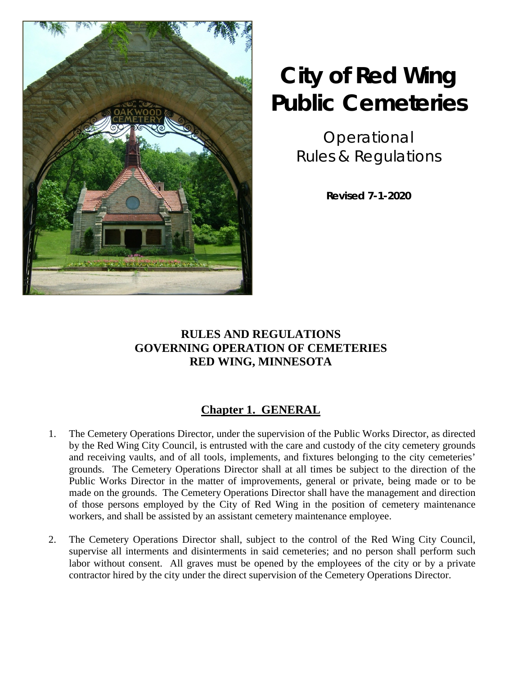

# **City of Red Wing Public Cemeteries**

Operational Rules & Regulations

**Revised 7-1-2020**

### **RULES AND REGULATIONS GOVERNING OPERATION OF CEMETERIES RED WING, MINNESOTA**

# **Chapter 1. GENERAL**

- 1. The Cemetery Operations Director, under the supervision of the Public Works Director, as directed by the Red Wing City Council, is entrusted with the care and custody of the city cemetery grounds and receiving vaults, and of all tools, implements, and fixtures belonging to the city cemeteries' grounds. The Cemetery Operations Director shall at all times be subject to the direction of the Public Works Director in the matter of improvements, general or private, being made or to be made on the grounds. The Cemetery Operations Director shall have the management and direction of those persons employed by the City of Red Wing in the position of cemetery maintenance workers, and shall be assisted by an assistant cemetery maintenance employee.
- 2. The Cemetery Operations Director shall, subject to the control of the Red Wing City Council, supervise all interments and disinterments in said cemeteries; and no person shall perform such labor without consent. All graves must be opened by the employees of the city or by a private contractor hired by the city under the direct supervision of the Cemetery Operations Director.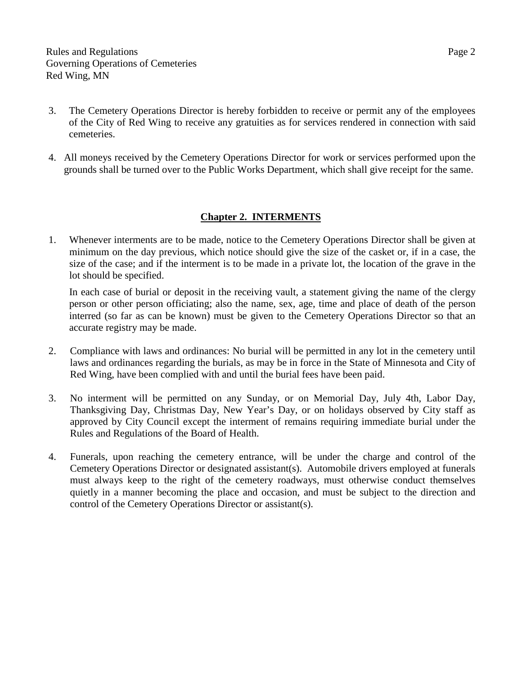- 3. The Cemetery Operations Director is hereby forbidden to receive or permit any of the employees of the City of Red Wing to receive any gratuities as for services rendered in connection with said cemeteries.
- 4. All moneys received by the Cemetery Operations Director for work or services performed upon the grounds shall be turned over to the Public Works Department, which shall give receipt for the same.

#### **Chapter 2. INTERMENTS**

1. Whenever interments are to be made, notice to the Cemetery Operations Director shall be given at minimum on the day previous, which notice should give the size of the casket or, if in a case, the size of the case; and if the interment is to be made in a private lot, the location of the grave in the lot should be specified.

In each case of burial or deposit in the receiving vault, a statement giving the name of the clergy person or other person officiating; also the name, sex, age, time and place of death of the person interred (so far as can be known) must be given to the Cemetery Operations Director so that an accurate registry may be made.

- 2. Compliance with laws and ordinances: No burial will be permitted in any lot in the cemetery until laws and ordinances regarding the burials, as may be in force in the State of Minnesota and City of Red Wing, have been complied with and until the burial fees have been paid.
- 3. No interment will be permitted on any Sunday, or on Memorial Day, July 4th, Labor Day, Thanksgiving Day, Christmas Day, New Year's Day, or on holidays observed by City staff as approved by City Council except the interment of remains requiring immediate burial under the Rules and Regulations of the Board of Health.
- 4. Funerals, upon reaching the cemetery entrance, will be under the charge and control of the Cemetery Operations Director or designated assistant(s). Automobile drivers employed at funerals must always keep to the right of the cemetery roadways, must otherwise conduct themselves quietly in a manner becoming the place and occasion, and must be subject to the direction and control of the Cemetery Operations Director or assistant(s).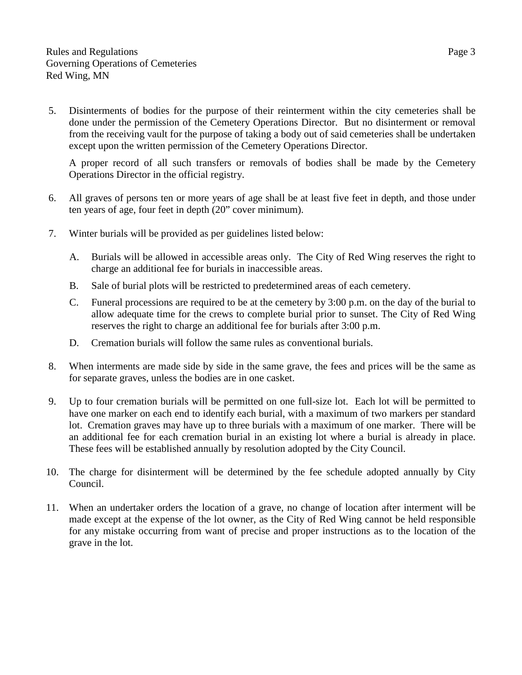5. Disinterments of bodies for the purpose of their reinterment within the city cemeteries shall be done under the permission of the Cemetery Operations Director. But no disinterment or removal from the receiving vault for the purpose of taking a body out of said cemeteries shall be undertaken except upon the written permission of the Cemetery Operations Director.

A proper record of all such transfers or removals of bodies shall be made by the Cemetery Operations Director in the official registry.

- 6. All graves of persons ten or more years of age shall be at least five feet in depth, and those under ten years of age, four feet in depth (20" cover minimum).
- 7. Winter burials will be provided as per guidelines listed below:
	- A. Burials will be allowed in accessible areas only. The City of Red Wing reserves the right to charge an additional fee for burials in inaccessible areas.
	- B. Sale of burial plots will be restricted to predetermined areas of each cemetery.
	- C. Funeral processions are required to be at the cemetery by 3:00 p.m. on the day of the burial to allow adequate time for the crews to complete burial prior to sunset. The City of Red Wing reserves the right to charge an additional fee for burials after 3:00 p.m.
	- D. Cremation burials will follow the same rules as conventional burials.
- 8. When interments are made side by side in the same grave, the fees and prices will be the same as for separate graves, unless the bodies are in one casket.
- 9. Up to four cremation burials will be permitted on one full-size lot. Each lot will be permitted to have one marker on each end to identify each burial, with a maximum of two markers per standard lot. Cremation graves may have up to three burials with a maximum of one marker. There will be an additional fee for each cremation burial in an existing lot where a burial is already in place. These fees will be established annually by resolution adopted by the City Council.
- 10. The charge for disinterment will be determined by the fee schedule adopted annually by City Council.
- 11. When an undertaker orders the location of a grave, no change of location after interment will be made except at the expense of the lot owner, as the City of Red Wing cannot be held responsible for any mistake occurring from want of precise and proper instructions as to the location of the grave in the lot.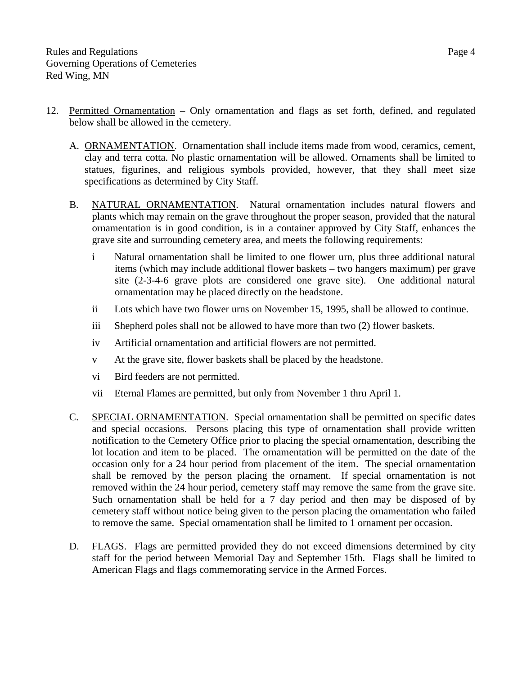- 12. Permitted Ornamentation Only ornamentation and flags as set forth, defined, and regulated below shall be allowed in the cemetery.
	- A. ORNAMENTATION. Ornamentation shall include items made from wood, ceramics, cement, clay and terra cotta. No plastic ornamentation will be allowed. Ornaments shall be limited to statues, figurines, and religious symbols provided, however, that they shall meet size specifications as determined by City Staff.
	- B. NATURAL ORNAMENTATION. Natural ornamentation includes natural flowers and plants which may remain on the grave throughout the proper season, provided that the natural ornamentation is in good condition, is in a container approved by City Staff, enhances the grave site and surrounding cemetery area, and meets the following requirements:
		- i Natural ornamentation shall be limited to one flower urn, plus three additional natural items (which may include additional flower baskets – two hangers maximum) per grave site (2-3-4-6 grave plots are considered one grave site). One additional natural ornamentation may be placed directly on the headstone.
		- ii Lots which have two flower urns on November 15, 1995, shall be allowed to continue.
		- iii Shepherd poles shall not be allowed to have more than two (2) flower baskets.
		- iv Artificial ornamentation and artificial flowers are not permitted.
		- v At the grave site, flower baskets shall be placed by the headstone.
		- vi Bird feeders are not permitted.
		- vii Eternal Flames are permitted, but only from November 1 thru April 1.
	- C. SPECIAL ORNAMENTATION. Special ornamentation shall be permitted on specific dates and special occasions. Persons placing this type of ornamentation shall provide written notification to the Cemetery Office prior to placing the special ornamentation, describing the lot location and item to be placed. The ornamentation will be permitted on the date of the occasion only for a 24 hour period from placement of the item. The special ornamentation shall be removed by the person placing the ornament. If special ornamentation is not removed within the 24 hour period, cemetery staff may remove the same from the grave site. Such ornamentation shall be held for a 7 day period and then may be disposed of by cemetery staff without notice being given to the person placing the ornamentation who failed to remove the same. Special ornamentation shall be limited to 1 ornament per occasion.
	- D. FLAGS. Flags are permitted provided they do not exceed dimensions determined by city staff for the period between Memorial Day and September 15th. Flags shall be limited to American Flags and flags commemorating service in the Armed Forces.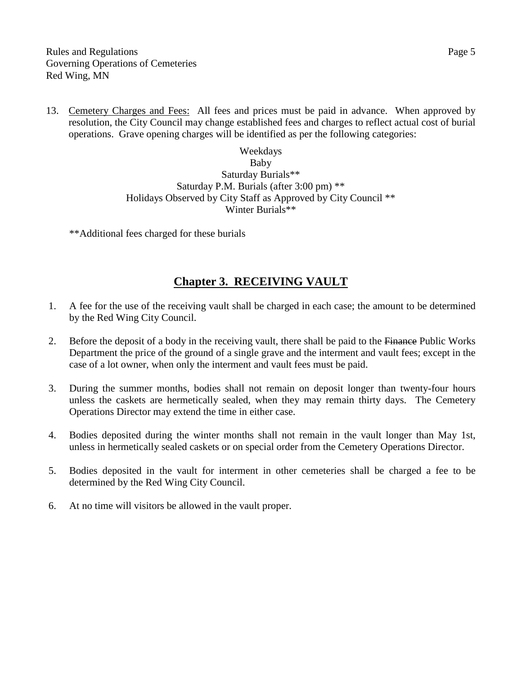13. Cemetery Charges and Fees: All fees and prices must be paid in advance. When approved by resolution, the City Council may change established fees and charges to reflect actual cost of burial operations. Grave opening charges will be identified as per the following categories:

> Weekdays Baby Saturday Burials\*\* Saturday P.M. Burials (after 3:00 pm) \*\* Holidays Observed by City Staff as Approved by City Council \*\* Winter Burials\*\*

\*\*Additional fees charged for these burials

#### **Chapter 3. RECEIVING VAULT**

- 1. A fee for the use of the receiving vault shall be charged in each case; the amount to be determined by the Red Wing City Council.
- 2. Before the deposit of a body in the receiving vault, there shall be paid to the Finance Public Works Department the price of the ground of a single grave and the interment and vault fees; except in the case of a lot owner, when only the interment and vault fees must be paid.
- 3. During the summer months, bodies shall not remain on deposit longer than twenty-four hours unless the caskets are hermetically sealed, when they may remain thirty days. The Cemetery Operations Director may extend the time in either case.
- 4. Bodies deposited during the winter months shall not remain in the vault longer than May 1st, unless in hermetically sealed caskets or on special order from the Cemetery Operations Director.
- 5. Bodies deposited in the vault for interment in other cemeteries shall be charged a fee to be determined by the Red Wing City Council.
- 6. At no time will visitors be allowed in the vault proper.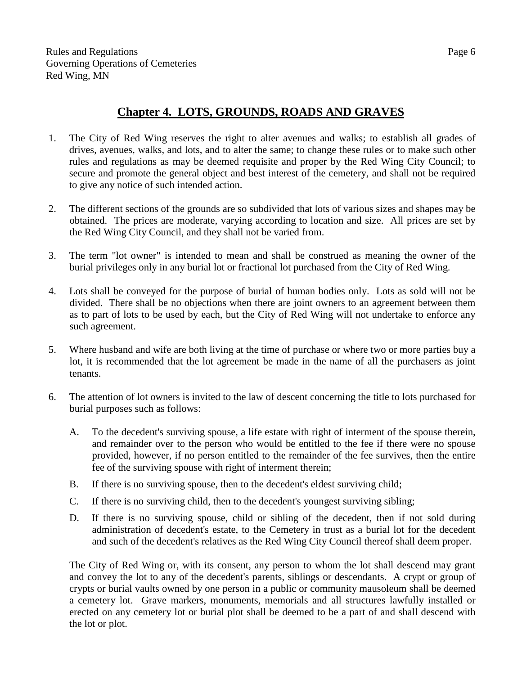### **Chapter 4. LOTS, GROUNDS, ROADS AND GRAVES**

- 1. The City of Red Wing reserves the right to alter avenues and walks; to establish all grades of drives, avenues, walks, and lots, and to alter the same; to change these rules or to make such other rules and regulations as may be deemed requisite and proper by the Red Wing City Council; to secure and promote the general object and best interest of the cemetery, and shall not be required to give any notice of such intended action.
- 2. The different sections of the grounds are so subdivided that lots of various sizes and shapes may be obtained. The prices are moderate, varying according to location and size. All prices are set by the Red Wing City Council, and they shall not be varied from.
- 3. The term "lot owner" is intended to mean and shall be construed as meaning the owner of the burial privileges only in any burial lot or fractional lot purchased from the City of Red Wing.
- 4. Lots shall be conveyed for the purpose of burial of human bodies only. Lots as sold will not be divided. There shall be no objections when there are joint owners to an agreement between them as to part of lots to be used by each, but the City of Red Wing will not undertake to enforce any such agreement.
- 5. Where husband and wife are both living at the time of purchase or where two or more parties buy a lot, it is recommended that the lot agreement be made in the name of all the purchasers as joint tenants.
- 6. The attention of lot owners is invited to the law of descent concerning the title to lots purchased for burial purposes such as follows:
	- A. To the decedent's surviving spouse, a life estate with right of interment of the spouse therein, and remainder over to the person who would be entitled to the fee if there were no spouse provided, however, if no person entitled to the remainder of the fee survives, then the entire fee of the surviving spouse with right of interment therein;
	- B. If there is no surviving spouse, then to the decedent's eldest surviving child;
	- C. If there is no surviving child, then to the decedent's youngest surviving sibling;
	- D. If there is no surviving spouse, child or sibling of the decedent, then if not sold during administration of decedent's estate, to the Cemetery in trust as a burial lot for the decedent and such of the decedent's relatives as the Red Wing City Council thereof shall deem proper.

The City of Red Wing or, with its consent, any person to whom the lot shall descend may grant and convey the lot to any of the decedent's parents, siblings or descendants. A crypt or group of crypts or burial vaults owned by one person in a public or community mausoleum shall be deemed a cemetery lot. Grave markers, monuments, memorials and all structures lawfully installed or erected on any cemetery lot or burial plot shall be deemed to be a part of and shall descend with the lot or plot.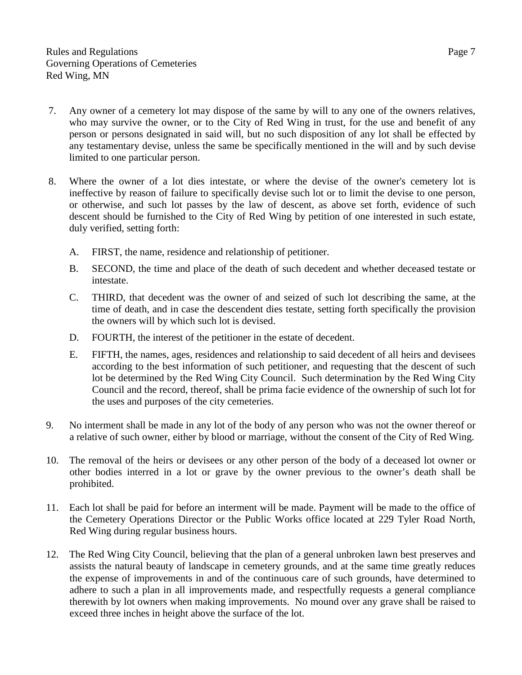- 7. Any owner of a cemetery lot may dispose of the same by will to any one of the owners relatives, who may survive the owner, or to the City of Red Wing in trust, for the use and benefit of any person or persons designated in said will, but no such disposition of any lot shall be effected by any testamentary devise, unless the same be specifically mentioned in the will and by such devise limited to one particular person.
- 8. Where the owner of a lot dies intestate, or where the devise of the owner's cemetery lot is ineffective by reason of failure to specifically devise such lot or to limit the devise to one person, or otherwise, and such lot passes by the law of descent, as above set forth, evidence of such descent should be furnished to the City of Red Wing by petition of one interested in such estate, duly verified, setting forth:
	- A. FIRST, the name, residence and relationship of petitioner.
	- B. SECOND, the time and place of the death of such decedent and whether deceased testate or intestate.
	- C. THIRD, that decedent was the owner of and seized of such lot describing the same, at the time of death, and in case the descendent dies testate, setting forth specifically the provision the owners will by which such lot is devised.
	- D. FOURTH, the interest of the petitioner in the estate of decedent.
	- E. FIFTH, the names, ages, residences and relationship to said decedent of all heirs and devisees according to the best information of such petitioner, and requesting that the descent of such lot be determined by the Red Wing City Council. Such determination by the Red Wing City Council and the record, thereof, shall be prima facie evidence of the ownership of such lot for the uses and purposes of the city cemeteries.
- 9. No interment shall be made in any lot of the body of any person who was not the owner thereof or a relative of such owner, either by blood or marriage, without the consent of the City of Red Wing.
- 10. The removal of the heirs or devisees or any other person of the body of a deceased lot owner or other bodies interred in a lot or grave by the owner previous to the owner's death shall be prohibited.
- 11. Each lot shall be paid for before an interment will be made. Payment will be made to the office of the Cemetery Operations Director or the Public Works office located at 229 Tyler Road North, Red Wing during regular business hours.
- 12. The Red Wing City Council, believing that the plan of a general unbroken lawn best preserves and assists the natural beauty of landscape in cemetery grounds, and at the same time greatly reduces the expense of improvements in and of the continuous care of such grounds, have determined to adhere to such a plan in all improvements made, and respectfully requests a general compliance therewith by lot owners when making improvements. No mound over any grave shall be raised to exceed three inches in height above the surface of the lot.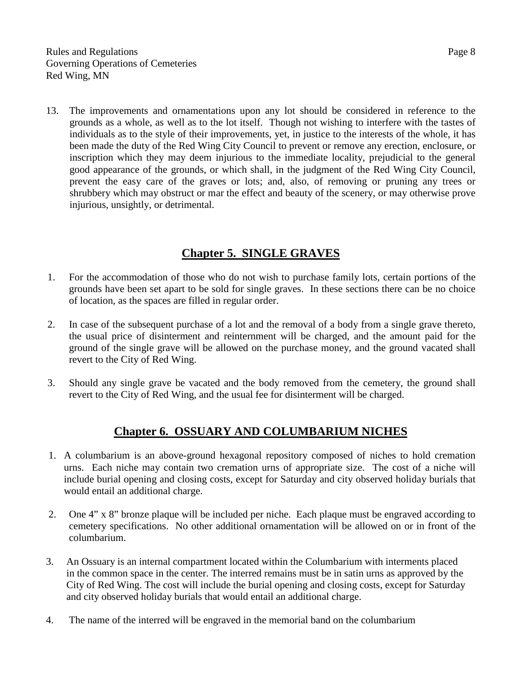13. The improvements and ornamentations upon any lot should be considered in reference to the grounds as a whole, as well as to the lot itself. Though not wishing to interfere with the tastes of individuals as to the style of their improvements, yet, in justice to the interests of the whole, it has been made the duty of the Red Wing City Council to prevent or remove any erection, enclosure, or inscription which they may deem injurious to the immediate locality, prejudicial to the general good appearance of the grounds, or which shall, in the judgment of the Red Wing City Council, prevent the easy care of the graves or lots; and, also, of removing or pruning any trees or shrubbery which may obstruct or mar the effect and beauty of the scenery, or may otherwise prove injurious, unsightly, or detrimental.

#### **Chapter 5. SINGLE GRAVES**

- 1. For the accommodation of those who do not wish to purchase family lots, certain portions of the grounds have been set apart to be sold for single graves. In these sections there can be no choice of location, as the spaces are filled in regular order.
- 2. In case of the subsequent purchase of a lot and the removal of a body from a single grave thereto, the usual price of disinterment and reinternment will be charged, and the amount paid for the ground of the single grave will be allowed on the purchase money, and the ground vacated shall revert to the City of Red Wing.
- 3. Should any single grave be vacated and the body removed from the cemetery, the ground shall revert to the City of Red Wing, and the usual fee for disinterment will be charged.

# **Chapter 6. OSSUARY AND COLUMBARIUM NICHES**

- 1. A columbarium is an above-ground hexagonal repository composed of niches to hold cremation urns. Each niche may contain two cremation urns of appropriate size. The cost of a niche will include burial opening and closing costs, except for Saturday and city observed holiday burials that would entail an additional charge.
- 2. One 4" x 8" bronze plaque will be included per niche. Each plaque must be engraved according to cemetery specifications. No other additional ornamentation will be allowed on or in front of the columbarium.
- 3. An Ossuary is an internal compartment located within the Columbarium with interments placed in the common space in the center. The interred remains must be in satin urns as approved by the City of Red Wing. The cost will include the burial opening and closing costs, except for Saturday and city observed holiday burials that would entail an additional charge.
- 4. The name of the interred will be engraved in the memorial band on the columbarium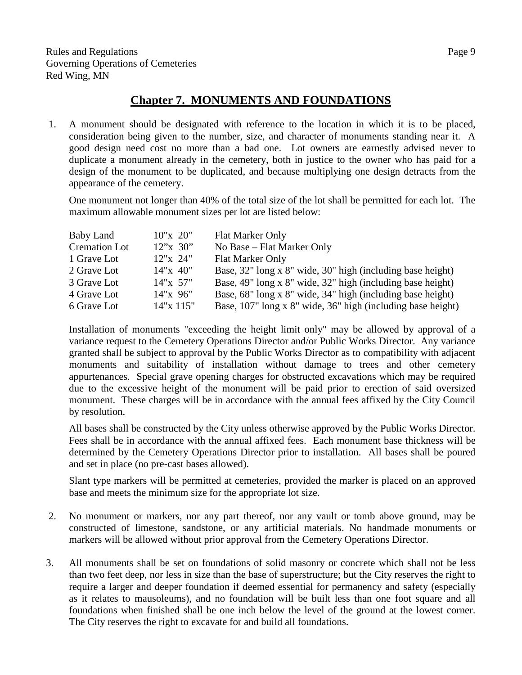#### **Chapter 7. MONUMENTS AND FOUNDATIONS**

1. A monument should be designated with reference to the location in which it is to be placed, consideration being given to the number, size, and character of monuments standing near it. A good design need cost no more than a bad one. Lot owners are earnestly advised never to duplicate a monument already in the cemetery, both in justice to the owner who has paid for a design of the monument to be duplicated, and because multiplying one design detracts from the appearance of the cemetery.

One monument not longer than 40% of the total size of the lot shall be permitted for each lot. The maximum allowable monument sizes per lot are listed below:

| Baby Land            | 10"x 20"   | Flat Marker Only                                            |
|----------------------|------------|-------------------------------------------------------------|
| <b>Cremation Lot</b> | 12"x 30"   | No Base – Flat Marker Only                                  |
| 1 Grave Lot          | $12"x$ 24" | <b>Flat Marker Only</b>                                     |
| 2 Grave Lot          | 14"x 40"   | Base, 32" long x 8" wide, 30" high (including base height)  |
| 3 Grave Lot          | 14"x 57"   | Base, 49" long x 8" wide, 32" high (including base height)  |
| 4 Grave Lot          | 14"x 96"   | Base, 68" long x 8" wide, 34" high (including base height)  |
| 6 Grave Lot          | 14"x 115"  | Base, 107" long x 8" wide, 36" high (including base height) |

Installation of monuments "exceeding the height limit only" may be allowed by approval of a variance request to the Cemetery Operations Director and/or Public Works Director. Any variance granted shall be subject to approval by the Public Works Director as to compatibility with adjacent monuments and suitability of installation without damage to trees and other cemetery appurtenances. Special grave opening charges for obstructed excavations which may be required due to the excessive height of the monument will be paid prior to erection of said oversized monument. These charges will be in accordance with the annual fees affixed by the City Council by resolution.

All bases shall be constructed by the City unless otherwise approved by the Public Works Director. Fees shall be in accordance with the annual affixed fees. Each monument base thickness will be determined by the Cemetery Operations Director prior to installation. All bases shall be poured and set in place (no pre-cast bases allowed).

Slant type markers will be permitted at cemeteries, provided the marker is placed on an approved base and meets the minimum size for the appropriate lot size.

- 2. No monument or markers, nor any part thereof, nor any vault or tomb above ground, may be constructed of limestone, sandstone, or any artificial materials. No handmade monuments or markers will be allowed without prior approval from the Cemetery Operations Director.
- 3. All monuments shall be set on foundations of solid masonry or concrete which shall not be less than two feet deep, nor less in size than the base of superstructure; but the City reserves the right to require a larger and deeper foundation if deemed essential for permanency and safety (especially as it relates to mausoleums), and no foundation will be built less than one foot square and all foundations when finished shall be one inch below the level of the ground at the lowest corner. The City reserves the right to excavate for and build all foundations.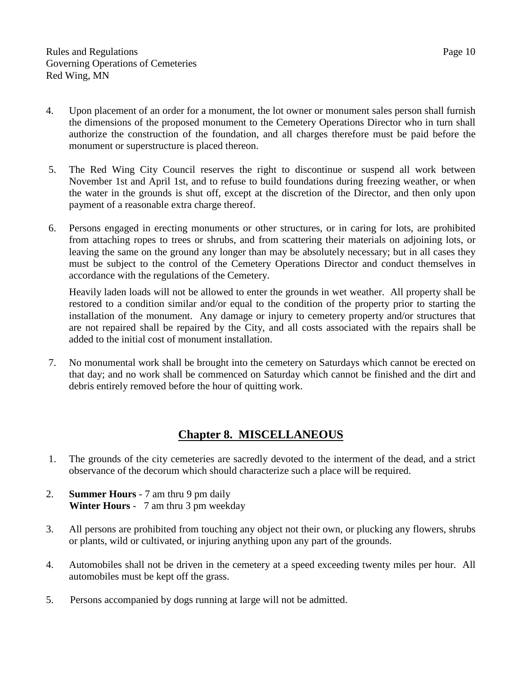- 4. Upon placement of an order for a monument, the lot owner or monument sales person shall furnish the dimensions of the proposed monument to the Cemetery Operations Director who in turn shall authorize the construction of the foundation, and all charges therefore must be paid before the monument or superstructure is placed thereon.
- 5. The Red Wing City Council reserves the right to discontinue or suspend all work between November 1st and April 1st, and to refuse to build foundations during freezing weather, or when the water in the grounds is shut off, except at the discretion of the Director, and then only upon payment of a reasonable extra charge thereof.
- 6. Persons engaged in erecting monuments or other structures, or in caring for lots, are prohibited from attaching ropes to trees or shrubs, and from scattering their materials on adjoining lots, or leaving the same on the ground any longer than may be absolutely necessary; but in all cases they must be subject to the control of the Cemetery Operations Director and conduct themselves in accordance with the regulations of the Cemetery.

Heavily laden loads will not be allowed to enter the grounds in wet weather. All property shall be restored to a condition similar and/or equal to the condition of the property prior to starting the installation of the monument. Any damage or injury to cemetery property and/or structures that are not repaired shall be repaired by the City, and all costs associated with the repairs shall be added to the initial cost of monument installation.

7. No monumental work shall be brought into the cemetery on Saturdays which cannot be erected on that day; and no work shall be commenced on Saturday which cannot be finished and the dirt and debris entirely removed before the hour of quitting work.

# **Chapter 8. MISCELLANEOUS**

- 1. The grounds of the city cemeteries are sacredly devoted to the interment of the dead, and a strict observance of the decorum which should characterize such a place will be required.
- 2. **Summer Hours** 7 am thru 9 pm daily **Winter Hours** - 7 am thru 3 pm weekday
- 3. All persons are prohibited from touching any object not their own, or plucking any flowers, shrubs or plants, wild or cultivated, or injuring anything upon any part of the grounds.
- 4. Automobiles shall not be driven in the cemetery at a speed exceeding twenty miles per hour. All automobiles must be kept off the grass.
- 5. Persons accompanied by dogs running at large will not be admitted.